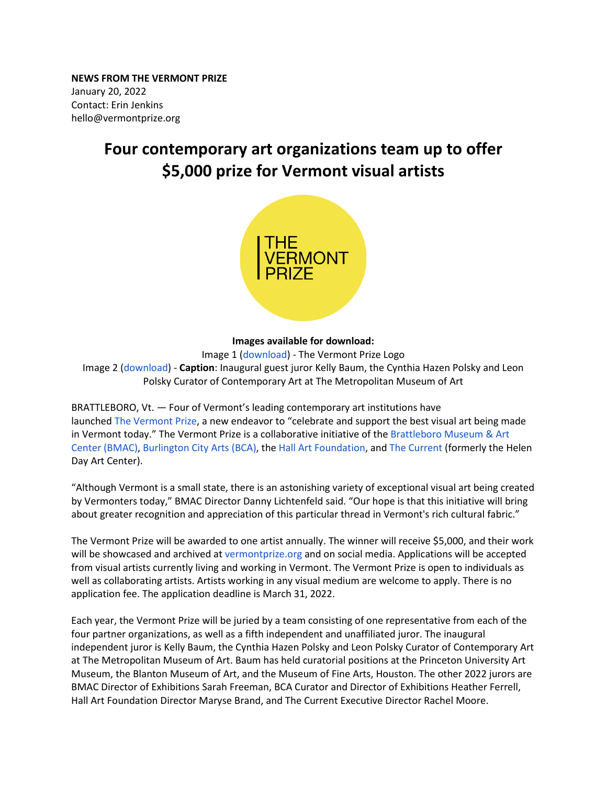**NEWS FROM THE VERMONT PRIZE** January 20, 2022 Contact: Erin Jenkins [hello@vermontprize.org](mailto:hello@vermontprize.org)

## **Four contemporary art organizations team up to offer \$5,000 prize for Vermont visual artists**



## **Images available for download:**

Image 1 [\(download\)](https://www.brattleboromuseum.org/wp-content/uploads/2022/01/TVP-LogoBW-01.png) - The Vermont Prize Logo Image 2 [\(download\)](https://www.brattleboromuseum.org/wp-content/uploads/2022/01/Kelly-Baum-Dec-2021-scaled.jpg) - **Caption**: Inaugural guest juror Kelly Baum, the Cynthia Hazen Polsky and Leon Polsky Curator of Contemporary Art at The Metropolitan Museum of Art

BRATTLEBORO, Vt. — Four of Vermont's leading contemporary art institutions have launched The [Vermont](http://vermontprize.org/) Prize, a new endeavor to "celebrate and support the best visual art being made in Vermont today." The Vermont Prize is a collaborative initiative of the Brattleboro Museum & Art [Center \(BMAC\),](http://brattleboromuseum.org/) [Burlington City Arts \(BCA\),](https://www.burlingtoncityarts.org/) the [Hall Art Foundation,](http://www.hallartfoundation.org/location/vermont) and [The Current](https://www.thecurrentnow.org/) (formerly the Helen Day Art Center).

"Although Vermont is a small state, there is an astonishing variety of exceptional visual art being created by Vermonters today," BMAC Director Danny Lichtenfeld said. "Our hope is that this initiative will bring about greater recognition and appreciation of this particular thread in Vermont's rich cultural fabric."

The Vermont Prize will be awarded to one artist annually. The winner will receive \$5,000, and their work will be showcased and archived at [vermontprize.org](http://vermontprize.org/) and on social media. Applications will be accepted from visual artists currently living and working in Vermont. The Vermont Prize is open to individuals as well as collaborating artists. Artists working in any visual medium are welcome to apply. There is no application fee. The application deadline is March 31, 2022.

Each year, the Vermont Prize will be juried by a team consisting of one representative from each of the four partner organizations, as well as a fifth independent and unaffiliated juror. The inaugural independent juror is Kelly Baum, the Cynthia Hazen Polsky and Leon Polsky Curator of Contemporary Art at The Metropolitan Museum of Art. Baum has held curatorial positions at the Princeton University Art Museum, the Blanton Museum of Art, and the Museum of Fine Arts, Houston. The other 2022 jurors are BMAC Director of Exhibitions Sarah Freeman, BCA Curator and Director of Exhibitions Heather Ferrell, Hall Art Foundation Director Maryse Brand, and The Current Executive Director Rachel Moore.